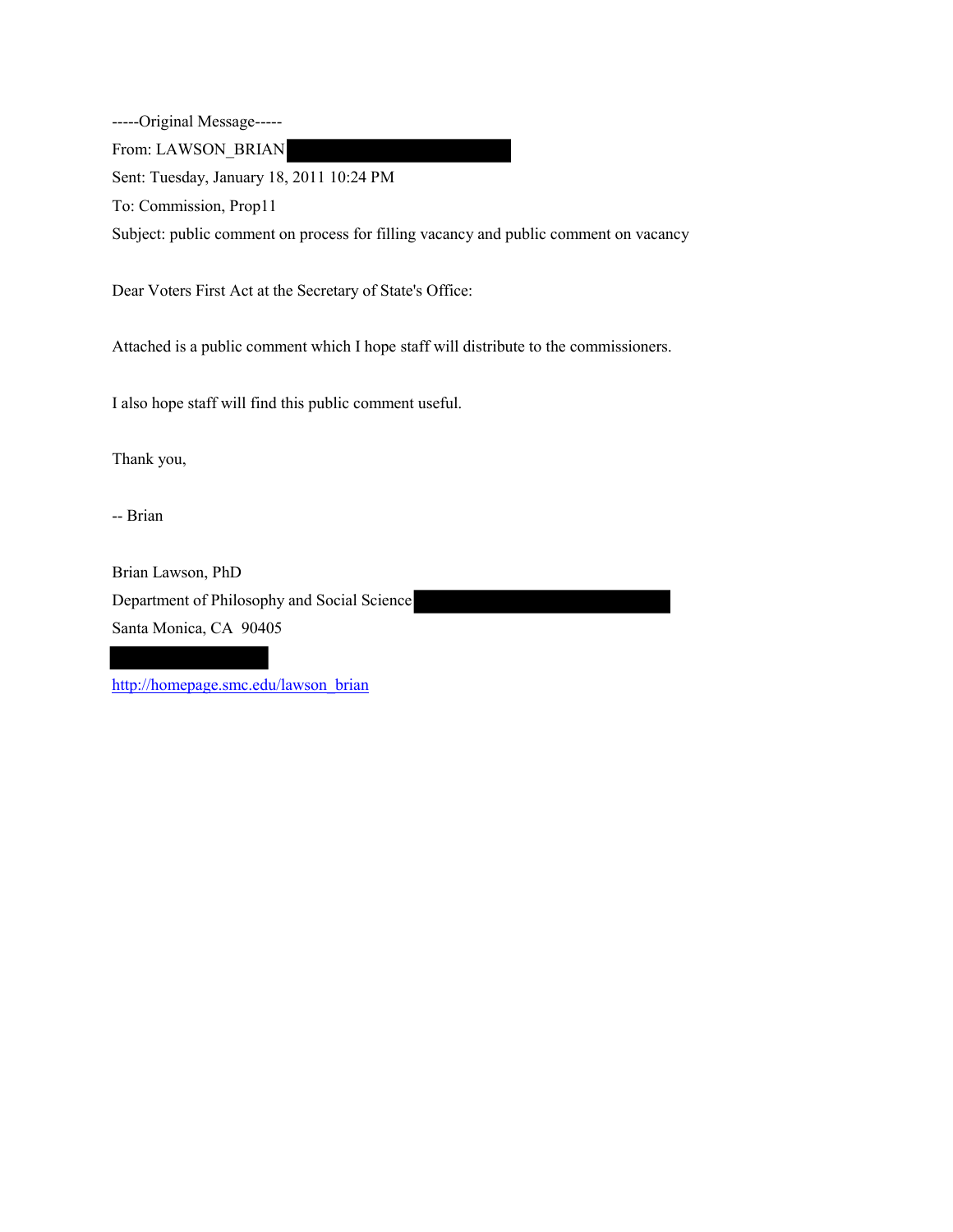-----Original Message-----

From: LAWSON\_BRIAN

Sent: Tuesday, January 18, 2011 10:24 PM

To: Commission, Prop11

Subject: public comment on process for filling vacancy and public comment on vacancy

Dear Voters First Act at the Secretary of State's Office:

Attached is a public comment which I hope staff will distribute to the commissioners.

I also hope staff will find this public comment useful.

Thank you,

-- Brian

Brian Lawson, PhD Department of Philosophy and Social Science Santa Monica, CA 90405

[http://homepage.smc.edu/lawson\\_brian](http://homepage.smc.edu/lawson_brian)